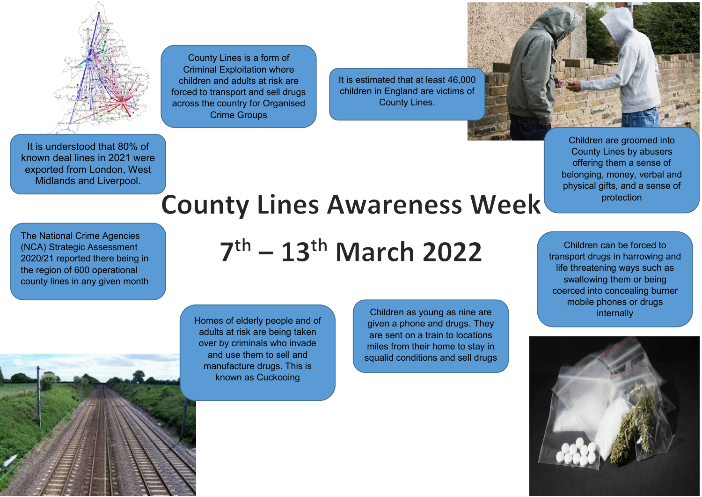

County Lines is a form of Criminal Exploitation where children and adults at risk are forced to transport and sell drugs across the country for Organised Crime Groups

It is estimated that at least 46,000 children in England are victims of County Lines.



Children are groomed into County Lines by abusers offering them a sense of belonging, money, verbal and physical gifts, and a sense of protection

It is understood that 80% of known deal lines in 2021 were exported from London, West Midlands and Liverpool.

## **County Lines Awareness Week**

The National Crime Agencies (NCA) Strategic Assessment 2020/21 reported there being in the region of 600 operational

## $7<sup>th</sup> - 13<sup>th</sup>$  March 2022

county lines in any given month



Homes of elderly people and of adults at risk are being taken over by criminals who invade and use them to sell and manufacture drugs. This is known as Cuckooing

Children as young as nine are given a phone and drugs. They are sent on a train to locations miles from their home to stay in squalid conditions and sell drugs

Children can be forced to transport drugs in harrowing and life threatening ways such as swallowing them or being coerced into concealing burner mobile phones or drugs internally

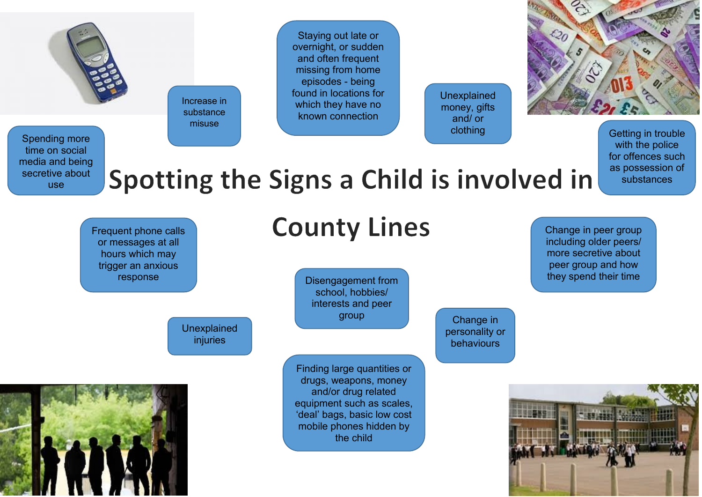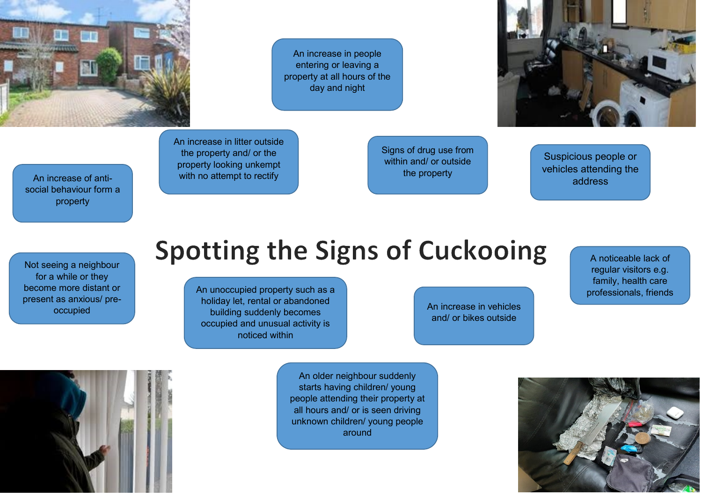

An increase in people entering or leaving a property at all hours of the day and night



An increase in litter outside the property and/ or the property looking unkempt with no attempt to rectify

An increase of antisocial behaviour form a property

Suspicious people or vehicles attending the address

> A noticeable lack of regular visitors e.g. family, health care

Not seeing a neighbour for a while or they become more distant or present as anxious/ preoccupied

## **Spotting the Signs of Cuckooing**

An unoccupied property such as a professionals, friends holiday let, rental or abandoned building suddenly becomes occupied and unusual activity is noticed within

An increase in vehicles and/ or bikes outside

Signs of drug use from within and/ or outside the property

An older neighbour suddenly starts having children/ young people attending their property at all hours and/ or is seen driving unknown children/ young people around